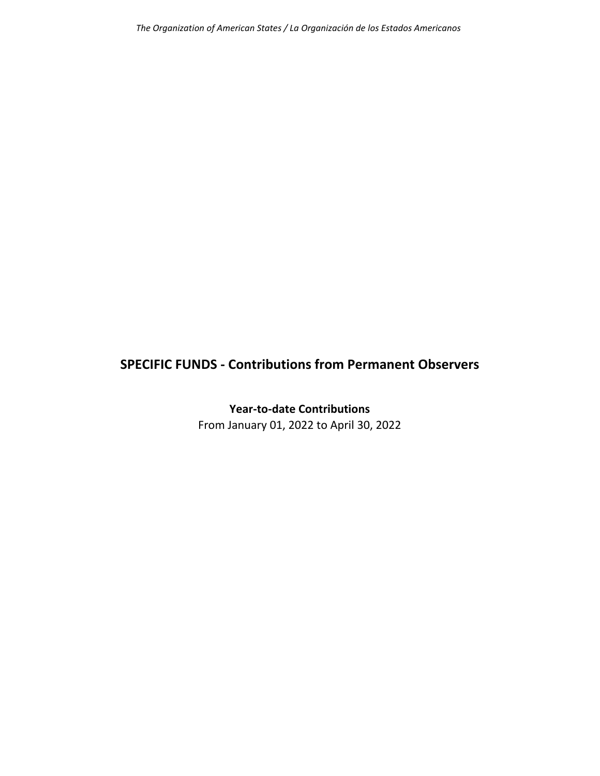## **SPECIFIC FUNDS ‐ Contributions from Permanent Observers**

**Year‐to‐date Contributions** From January 01, 2022 to April 30, 2022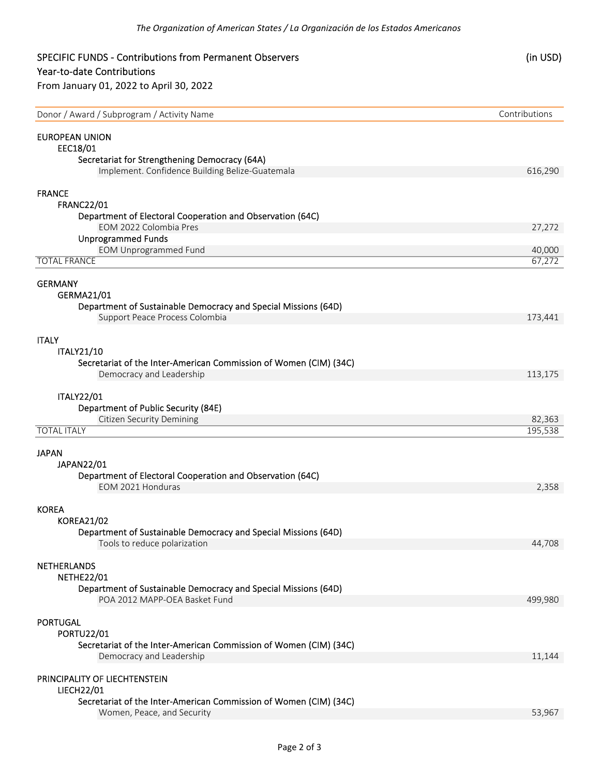## SPECIFIC FUNDS ‐ Contributions from Permanent Observers (in USD) Year‐to‐date Contributions From January 01, 2022 to April 30, 2022 Donor / Award / Subprogram / Activity Name Contributions Contributions Contributions EUROPEAN UNION EEC18/01 Secretariat for Strengthening Democracy (64A) Implement. Confidence Building Belize‐Guatemala 616,290 FRANCE FRANC22/01 Department of Electoral Cooperation and Observation (64C) EOM 2022 Colombia Pres 27,272 Unprogrammed Funds EOM Unprogrammed Fund **1999** Control of the United States of the United States and the United States of the United States and the United States and the United States and the United States and the United States and the Unit TOTAL FRANCE 67,272 GERMANY GERMA21/01 Department of Sustainable Democracy and Special Missions (64D) Support Peace Process Colombia 173,441 ITALY ITALY21/10 Secretariat of the Inter‐American Commission of Women (CIM) (34C) Democracy and Leadership **Democracy and Leadership 113,175** ITALY22/01 Department of Public Security (84E) Citizen Security Demining 22,363<br>
22,363<br>
25,538–195,538 TOTAL ITALY 195,538 JAPAN JAPAN22/01 Department of Electoral Cooperation and Observation (64C) EOM 2021 Honduras 2,358 KOREA KOREA21/02 Department of Sustainable Democracy and Special Missions (64D) Tools to reduce polarization **by the contract of the contract of the contract of the contract of the contract of the contract of the contract of the contract of the contract of the contract of the contract of the contract** NETHERLANDS NETHE22/01 Department of Sustainable Democracy and Special Missions (64D) POA 2012 MAPP‐OEA Basket Fund 499,980 PORTUGAL PORTU22/01 Secretariat of the Inter‐American Commission of Women (CIM) (34C)

Democracy and Leadership **by the contract of the contract of the contract of the contract of the contract of the contract of the contract of the contract of the contract of the contract of the contract of the contract of t** 

PRINCIPALITY OF LIECHTENSTEIN

LIECH22/01

Secretariat of the Inter‐American Commission of Women (CIM) (34C) Women, Peace, and Security 53,967